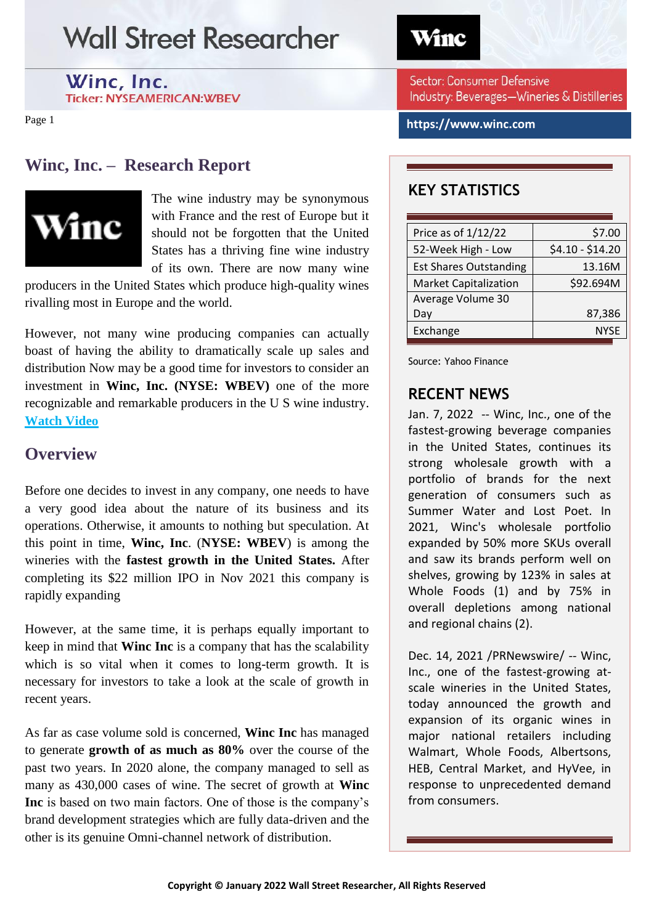Winc, Inc.

**Ticker: NYSEAMERICAN:WBEV** 

Page 1

### **Winc, Inc. – Research Report**



The wine industry may be synonymous with France and the rest of Europe but it should not be forgotten that the United States has a thriving fine wine industry of its own. There are now many wine

producers in the United States which produce high-quality wines rivalling most in Europe and the world.

However, not many wine producing companies can actually boast of having the ability to dramatically scale up sales and distribution Now may be a good time for investors to consider an investment in **Winc, Inc. (NYSE: WBEV)** one of the more recognizable and remarkable producers in the U S wine industry. **[Watch Video](https://www.youtube.com/embed/orp34xBH19g)**

### **Overview**

Before one decides to invest in any company, one needs to have a very good idea about the nature of its business and its operations. Otherwise, it amounts to nothing but speculation. At this point in time, **Winc, Inc**. (**NYSE: WBEV**) is among the wineries with the **fastest growth in the United States.** After completing its \$22 million IPO in Nov 2021 this company is rapidly expanding

However, at the same time, it is perhaps equally important to keep in mind that **Winc Inc** is a company that has the scalability which is so vital when it comes to long-term growth. It is necessary for investors to take a look at the scale of growth in recent years.

As far as case volume sold is concerned, **Winc Inc** has managed to generate **growth of as much as 80%** over the course of the past two years. In 2020 alone, the company managed to sell as many as 430,000 cases of wine. The secret of growth at **Winc Inc** is based on two main factors. One of those is the company's brand development strategies which are fully data-driven and the other is its genuine Omni-channel network of distribution.

Winc

Sector: Consumer Defensive Industry: Beverages-Wineries & Distilleries

**https://www.winc.com**

### **KEY STATISTICS**

| Price as of 1/12/22           | \$7.00           |
|-------------------------------|------------------|
| 52-Week High - Low            | \$4.10 - \$14.20 |
| <b>Est Shares Outstanding</b> | 13.16M           |
| <b>Market Capitalization</b>  | \$92.694M        |
| Average Volume 30             |                  |
| Day                           | 87,386           |
| Exchange                      | <b>NYSE</b>      |
|                               |                  |

Source: Yahoo Finance

### **RECENT NEWS**

Jan. 7, 2022 -- Winc, Inc., one of the fastest-growing beverage companies in the United States, continues its strong wholesale growth with a portfolio of brands for the next generation of consumers such as Summer Water and Lost Poet. In 2021, Winc's wholesale portfolio expanded by 50% more SKUs overall and saw its brands perform well on shelves, growing by 123% in sales at Whole Foods (1) and by 75% in overall depletions among national and regional chains (2).

Dec. 14, 2021 /PRNewswire/ -- Winc, Inc., one of the fastest-growing atscale wineries in the United States, today announced the growth and expansion of its organic wines in major national retailers including Walmart, Whole Foods, Albertsons, HEB, Central Market, and HyVee, in response to unprecedented demand from consumers.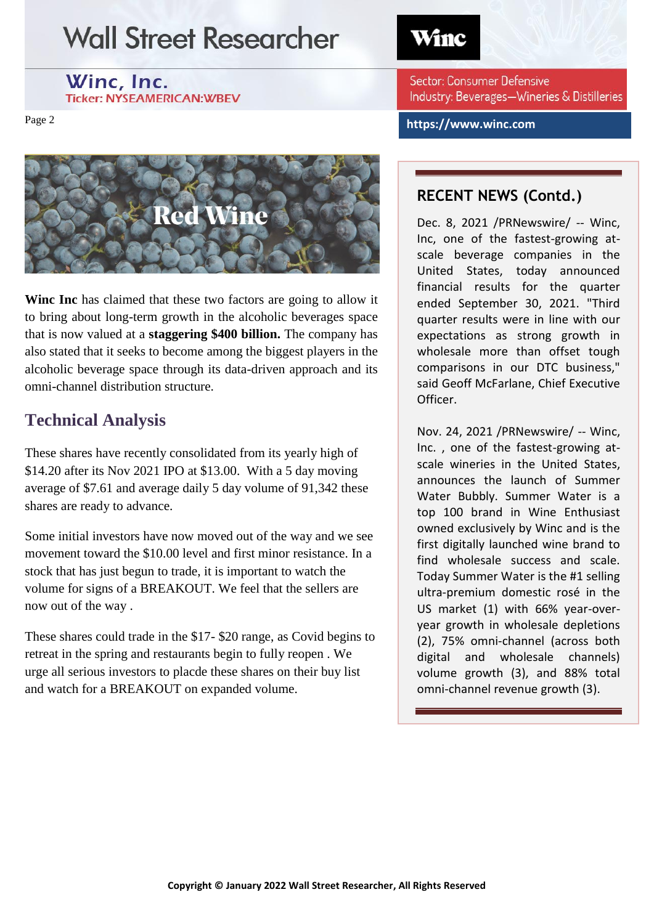Winc, Inc. **Ticker: NYSEAMERICAN:WBEV** 

Page 2



**Winc Inc** has claimed that these two factors are going to allow it to bring about long-term growth in the alcoholic beverages space that is now valued at a **staggering \$400 billion.** The company has also stated that it seeks to become among the biggest players in the alcoholic beverage space through its data-driven approach and its omni-channel distribution structure.

### **Technical Analysis**

These shares have recently consolidated from its yearly high of \$14.20 after its Nov 2021 IPO at \$13.00. With a 5 day moving average of \$7.61 and average daily 5 day volume of 91,342 these shares are ready to advance.

Some initial investors have now moved out of the way and we see movement toward the \$10.00 level and first minor resistance. In a stock that has just begun to trade, it is important to watch the volume for signs of a BREAKOUT. We feel that the sellers are now out of the way .

These shares could trade in the \$17- \$20 range, as Covid begins to retreat in the spring and restaurants begin to fully reopen . We urge all serious investors to placde these shares on their buy list and watch for a BREAKOUT on expanded volume.

## Winc

Sector: Consumer Defensive Industry: Beverages-Wineries & Distilleries

**https://www.winc.com**

### **RECENT NEWS (Contd.)**

Dec. 8, 2021 /PRNewswire/ -- Winc, Inc, one of the fastest-growing atscale beverage companies in the United States, today announced financial results for the quarter ended September 30, 2021. "Third quarter results were in line with our expectations as strong growth in wholesale more than offset tough comparisons in our DTC business," said Geoff McFarlane, Chief Executive Officer.

Nov. 24, 2021 /PRNewswire/ -- Winc, Inc. , one of the fastest-growing atscale wineries in the United States, announces the launch of Summer Water Bubbly. Summer Water is a top 100 brand in Wine Enthusiast owned exclusively by Winc and is the first digitally launched wine brand to find wholesale success and scale. Today Summer Water is the #1 selling ultra-premium domestic rosé in the US market (1) with 66% year-overyear growth in wholesale depletions (2), 75% omni-channel (across both digital and wholesale channels) volume growth (3), and 88% total omni-channel revenue growth (3).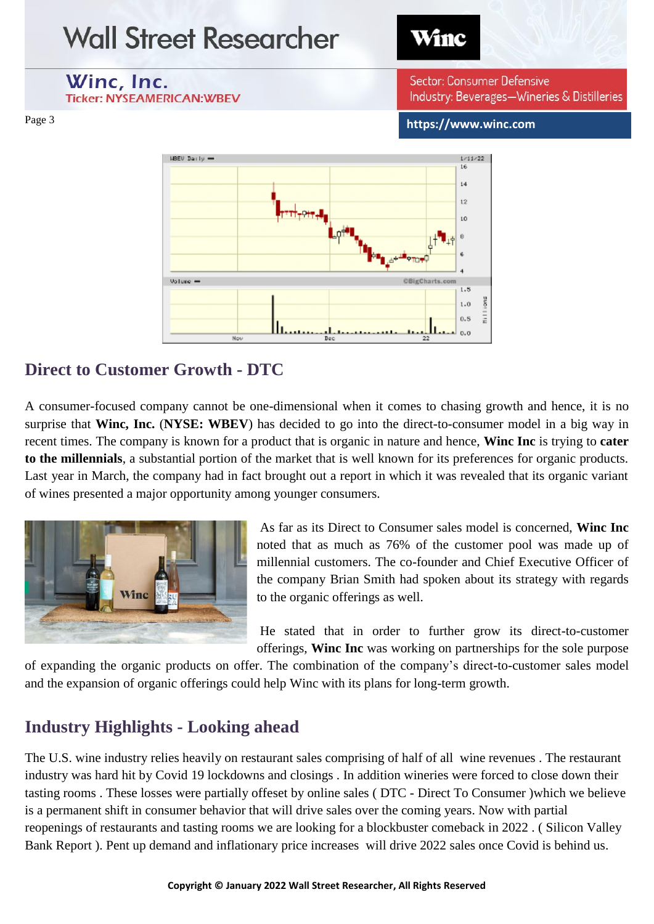

### **Direct to Customer Growth - DTC**

A consumer-focused company cannot be one-dimensional when it comes to chasing growth and hence, it is no surprise that **Winc, Inc.** (**NYSE: WBEV**) has decided to go into the direct-to-consumer model in a big way in recent times. The company is known for a product that is organic in nature and hence, **Winc Inc** is trying to **cater to the millennials**, a substantial portion of the market that is well known for its preferences for organic products. Last year in March, the company had in fact brought out a report in which it was revealed that its organic variant of wines presented a major opportunity among younger consumers.



As far as its Direct to Consumer sales model is concerned, **Winc Inc** noted that as much as 76% of the customer pool was made up of millennial customers. The co-founder and Chief Executive Officer of the company Brian Smith had spoken about its strategy with regards to the organic offerings as well.

He stated that in order to further grow its direct-to-customer offerings, **Winc Inc** was working on partnerships for the sole purpose

of expanding the organic products on offer. The combination of the company's direct-to-customer sales model and the expansion of organic offerings could help Winc with its plans for long-term growth.

### **Industry Highlights - Looking ahead**

The U.S. wine industry relies heavily on restaurant sales comprising of half of all wine revenues . The restaurant industry was hard hit by Covid 19 lockdowns and closings . In addition wineries were forced to close down their tasting rooms . These losses were partially offeset by online sales ( DTC - Direct To Consumer )which we believe is a permanent shift in consumer behavior that will drive sales over the coming years. Now with partial reopenings of restaurants and tasting rooms we are looking for a blockbuster comeback in 2022 . ( Silicon Valley Bank Report ). Pent up demand and inflationary price increases will drive 2022 sales once Covid is behind us.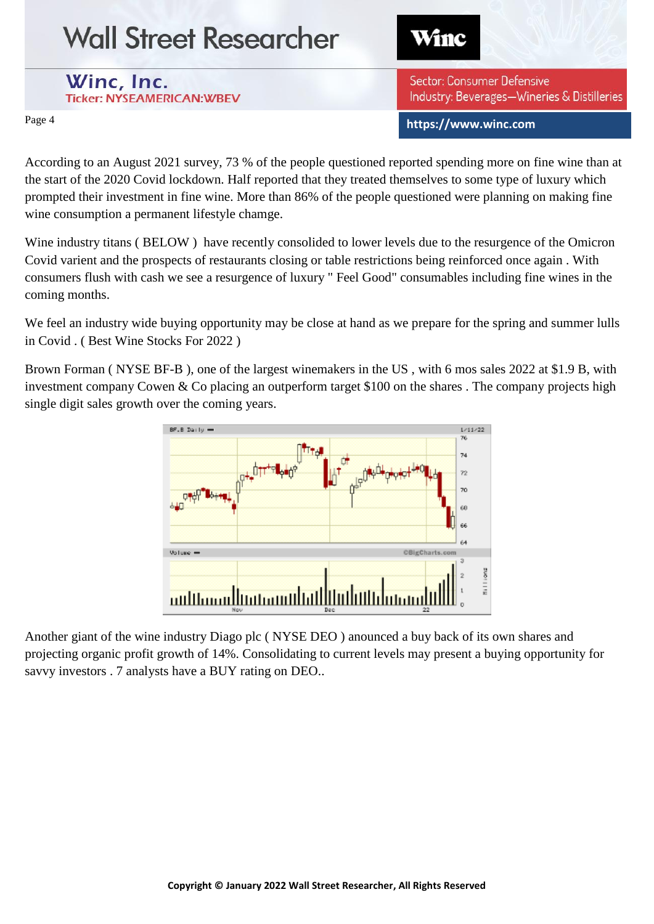Winc

Winc, Inc. **Ticker: NYSEAMERICAN:WBEV** 

Sector: Consumer Defensive Industry: Beverages-Wineries & Distilleries

**https://www.winc.com**

Page 4

According to an August 2021 survey, 73 % of the people questioned reported spending more on fine wine than at the start of the 2020 Covid lockdown. Half reported that they treated themselves to some type of luxury which prompted their investment in fine wine. More than 86% of the people questioned were planning on making fine wine consumption a permanent lifestyle chamge.

Wine industry titans ( BELOW ) have recently consolided to lower levels due to the resurgence of the Omicron Covid varient and the prospects of restaurants closing or table restrictions being reinforced once again . With consumers flush with cash we see a resurgence of luxury " Feel Good" consumables including fine wines in the coming months.

We feel an industry wide buying opportunity may be close at hand as we prepare for the spring and summer lulls in Covid . ( Best Wine Stocks For 2022 )

Brown Forman ( NYSE BF-B ), one of the largest winemakers in the US , with 6 mos sales 2022 at \$1.9 B, with investment company Cowen & Co placing an outperform target \$100 on the shares . The company projects high single digit sales growth over the coming years.



Another giant of the wine industry Diago plc ( NYSE DEO ) anounced a buy back of its own shares and projecting organic profit growth of 14%. Consolidating to current levels may present a buying opportunity for savvy investors . 7 analysts have a BUY rating on DEO..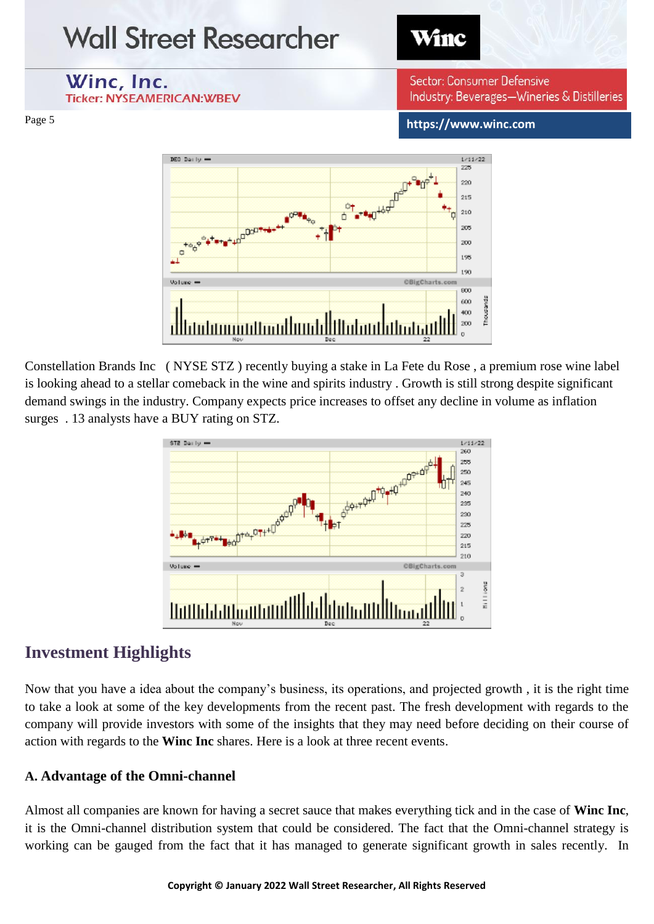

Constellation Brands Inc ( NYSE STZ ) recently buying a stake in La Fete du Rose , a premium rose wine label is looking ahead to a stellar comeback in the wine and spirits industry . Growth is still strong despite significant demand swings in the industry. Company expects price increases to offset any decline in volume as inflation surges . 13 analysts have a BUY rating on STZ.



### **Investment Highlights**

Now that you have a idea about the company's business, its operations, and projected growth , it is the right time to take a look at some of the key developments from the recent past. The fresh development with regards to the company will provide investors with some of the insights that they may need before deciding on their course of action with regards to the **Winc Inc** shares. Here is a look at three recent events.

#### **A. Advantage of the Omni-channel**

Almost all companies are known for having a secret sauce that makes everything tick and in the case of **Winc Inc**, it is the Omni-channel distribution system that could be considered. The fact that the Omni-channel strategy is working can be gauged from the fact that it has managed to generate significant growth in sales recently. In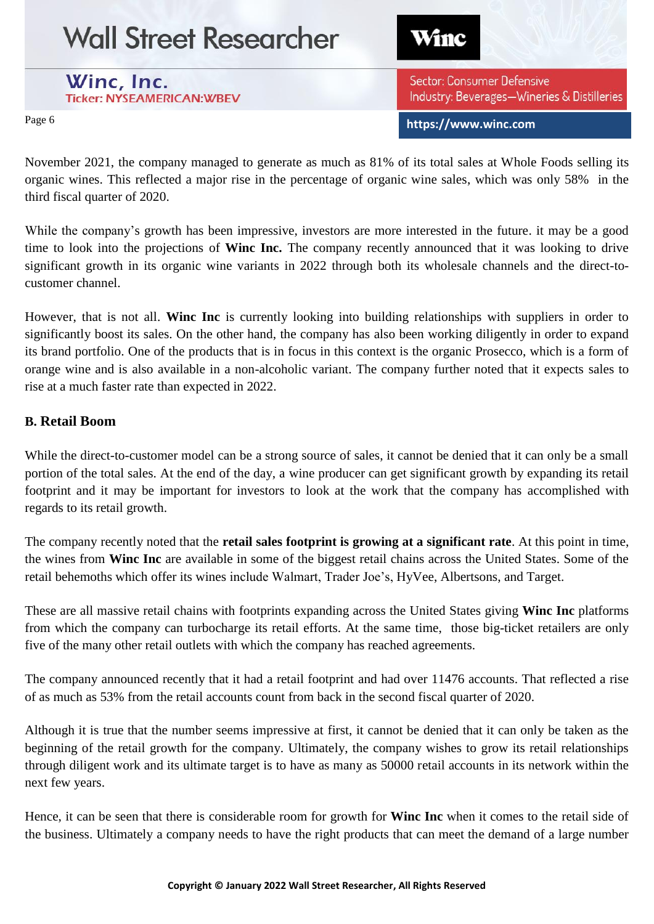Winc

**https://www.winc.com**

Sector: Consumer Defensive

Industry: Beverages-Wineries & Distilleries

## Winc, Inc.

**Ticker: NYSEAMERICAN:WBEV** 

Page 6

November 2021, the company managed to generate as much as 81% of its total sales at Whole Foods selling its organic wines. This reflected a major rise in the percentage of organic wine sales, which was only 58% in the third fiscal quarter of 2020.

While the company's growth has been impressive, investors are more interested in the future. it may be a good time to look into the projections of **Winc Inc.** The company recently announced that it was looking to drive significant growth in its organic wine variants in 2022 through both its wholesale channels and the direct-tocustomer channel.

However, that is not all. **Winc Inc** is currently looking into building relationships with suppliers in order to significantly boost its sales. On the other hand, the company has also been working diligently in order to expand its brand portfolio. One of the products that is in focus in this context is the organic Prosecco, which is a form of orange wine and is also available in a non-alcoholic variant. The company further noted that it expects sales to rise at a much faster rate than expected in 2022.

#### **B. Retail Boom**

While the direct-to-customer model can be a strong source of sales, it cannot be denied that it can only be a small portion of the total sales. At the end of the day, a wine producer can get significant growth by expanding its retail footprint and it may be important for investors to look at the work that the company has accomplished with regards to its retail growth.

The company recently noted that the **retail sales footprint is growing at a significant rate**. At this point in time, the wines from **Winc Inc** are available in some of the biggest retail chains across the United States. Some of the retail behemoths which offer its wines include Walmart, Trader Joe's, HyVee, Albertsons, and Target.

These are all massive retail chains with footprints expanding across the United States giving **Winc Inc** platforms from which the company can turbocharge its retail efforts. At the same time, those big-ticket retailers are only five of the many other retail outlets with which the company has reached agreements.

The company announced recently that it had a retail footprint and had over 11476 accounts. That reflected a rise of as much as 53% from the retail accounts count from back in the second fiscal quarter of 2020.

Although it is true that the number seems impressive at first, it cannot be denied that it can only be taken as the beginning of the retail growth for the company. Ultimately, the company wishes to grow its retail relationships through diligent work and its ultimate target is to have as many as 50000 retail accounts in its network within the next few years.

Hence, it can be seen that there is considerable room for growth for **Winc Inc** when it comes to the retail side of the business. Ultimately a company needs to have the right products that can meet the demand of a large number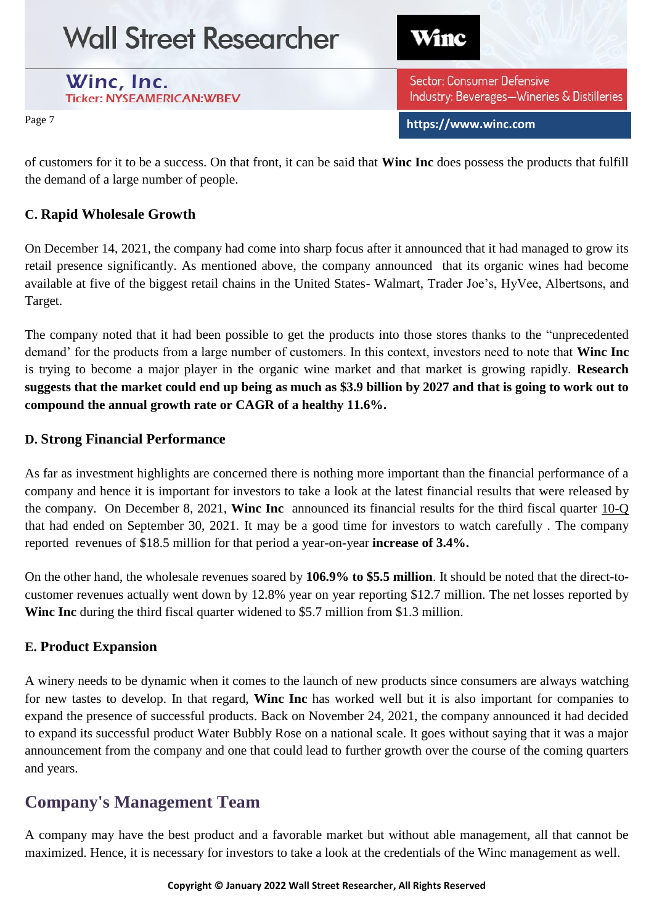Winc

#### Winc, Inc. **Ticker: NYSEAMERICAN:WBEV**

Sector: Consumer Defensive Industry: Beverages-Wineries & Distilleries

**https://www.winc.com**

Page 7

of customers for it to be a success. On that front, it can be said that **Winc Inc** does possess the products that fulfill the demand of a large number of people.

### **C. Rapid Wholesale Growth**

On December 14, 2021, the company had come into sharp focus after it announced that it had managed to grow its retail presence significantly. As mentioned above, the company announced that its organic wines had become available at five of the biggest retail chains in the United States- Walmart, Trader Joe's, HyVee, Albertsons, and Target.

The company noted that it had been possible to get the products into those stores thanks to the "unprecedented demand' for the products from a large number of customers. In this context, investors need to note that **Winc Inc** is trying to become a major player in the organic wine market and that market is growing rapidly. **Research suggests that the market could end up being as much as \$3.9 billion by 2027 and that is going to work out to compound the annual growth rate or CAGR of a healthy 11.6%.** 

#### **D. Strong Financial Performance**

As far as investment highlights are concerned there is nothing more important than the financial performance of a company and hence it is important for investors to take a look at the latest financial results that were released by the company. On December 8, 2021, **Winc Inc** announced its financial results for the third fiscal quarter [10-Q](https://app.quotemedia.com/data/downloadFiling?type=HTML&webmasterId=501&ref=116310562&CK=1782627)  that had ended on September 30, 2021. It may be a good time for investors to watch carefully . The company reported revenues of \$18.5 million for that period a year-on-year **increase of 3.4%.**

On the other hand, the wholesale revenues soared by **106.9% to \$5.5 million**. It should be noted that the direct-tocustomer revenues actually went down by 12.8% year on year reporting \$12.7 million. The net losses reported by **Winc Inc** during the third fiscal quarter widened to \$5.7 million from \$1.3 million.

### **E. Product Expansion**

A winery needs to be dynamic when it comes to the launch of new products since consumers are always watching for new tastes to develop. In that regard, **Winc Inc** has worked well but it is also important for companies to expand the presence of successful products. Back on November 24, 2021, the company announced it had decided to expand its successful product Water Bubbly Rose on a national scale. It goes without saying that it was a major announcement from the company and one that could lead to further growth over the course of the coming quarters and years.

## **Company's Management Team**

A company may have the best product and a favorable market but without able management, all that cannot be maximized. Hence, it is necessary for investors to take a look at the credentials of the Winc management as well.